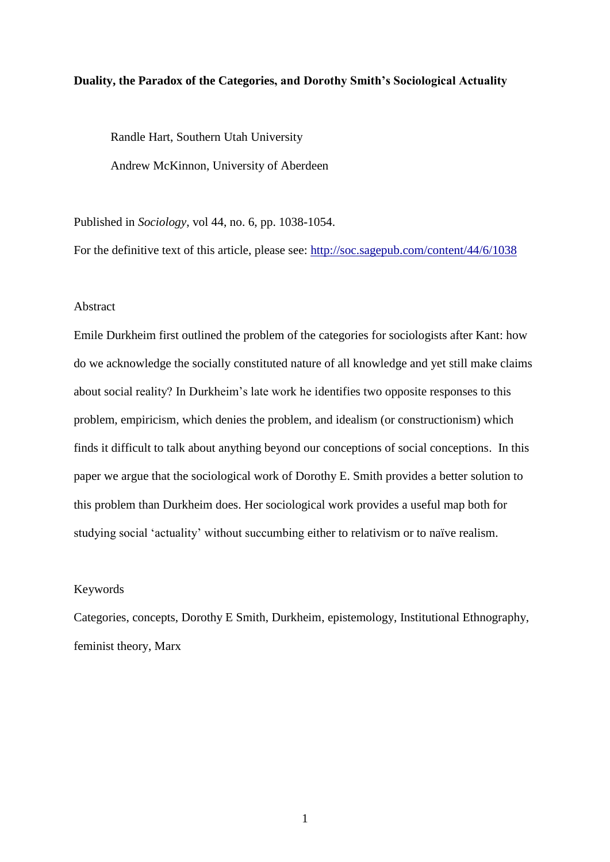## **Duality, the Paradox of the Categories, and Dorothy Smith's Sociological Actuality**

Randle Hart, Southern Utah University Andrew McKinnon, University of Aberdeen

Published in *Sociology*, vol 44, no. 6, pp. 1038-1054.

For the definitive text of this article, please see:<http://soc.sagepub.com/content/44/6/1038>

# Abstract

Emile Durkheim first outlined the problem of the categories for sociologists after Kant: how do we acknowledge the socially constituted nature of all knowledge and yet still make claims about social reality? In Durkheim's late work he identifies two opposite responses to this problem, empiricism, which denies the problem, and idealism (or constructionism) which finds it difficult to talk about anything beyond our conceptions of social conceptions. In this paper we argue that the sociological work of Dorothy E. Smith provides a better solution to this problem than Durkheim does. Her sociological work provides a useful map both for studying social 'actuality' without succumbing either to relativism or to naïve realism.

# Keywords

Categories, concepts, Dorothy E Smith, Durkheim, epistemology, Institutional Ethnography, feminist theory, Marx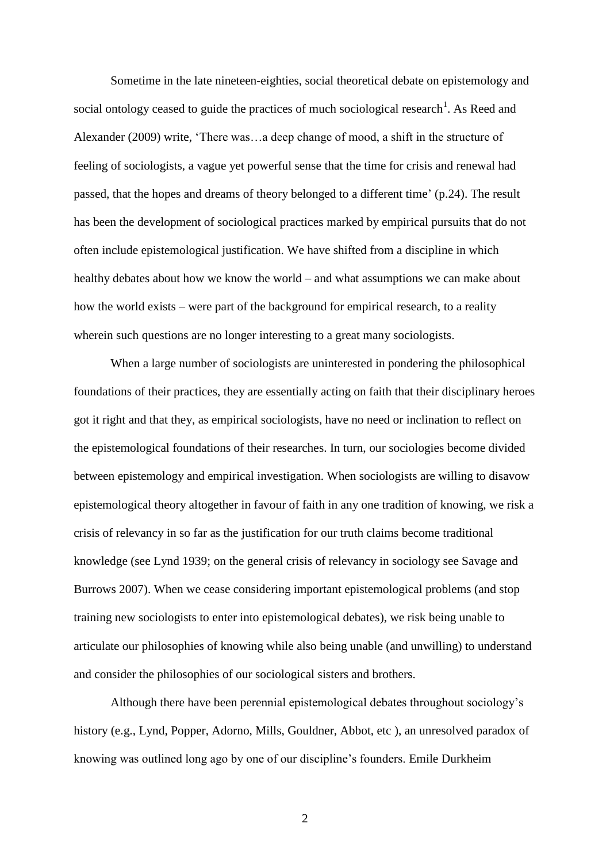Sometime in the late nineteen-eighties, social theoretical debate on epistemology and social ontology ceased to guide the practices of much sociological research<sup>1</sup>. As Reed and Alexander (2009) write, 'There was…a deep change of mood, a shift in the structure of feeling of sociologists, a vague yet powerful sense that the time for crisis and renewal had passed, that the hopes and dreams of theory belonged to a different time' (p.24). The result has been the development of sociological practices marked by empirical pursuits that do not often include epistemological justification. We have shifted from a discipline in which healthy debates about how we know the world – and what assumptions we can make about how the world exists – were part of the background for empirical research, to a reality wherein such questions are no longer interesting to a great many sociologists.

When a large number of sociologists are uninterested in pondering the philosophical foundations of their practices, they are essentially acting on faith that their disciplinary heroes got it right and that they, as empirical sociologists, have no need or inclination to reflect on the epistemological foundations of their researches. In turn, our sociologies become divided between epistemology and empirical investigation. When sociologists are willing to disavow epistemological theory altogether in favour of faith in any one tradition of knowing, we risk a crisis of relevancy in so far as the justification for our truth claims become traditional knowledge (see Lynd 1939; on the general crisis of relevancy in sociology see Savage and Burrows 2007). When we cease considering important epistemological problems (and stop training new sociologists to enter into epistemological debates), we risk being unable to articulate our philosophies of knowing while also being unable (and unwilling) to understand and consider the philosophies of our sociological sisters and brothers.

Although there have been perennial epistemological debates throughout sociology's history (e.g., Lynd, Popper, Adorno, Mills, Gouldner, Abbot, etc ), an unresolved paradox of knowing was outlined long ago by one of our discipline's founders. Emile Durkheim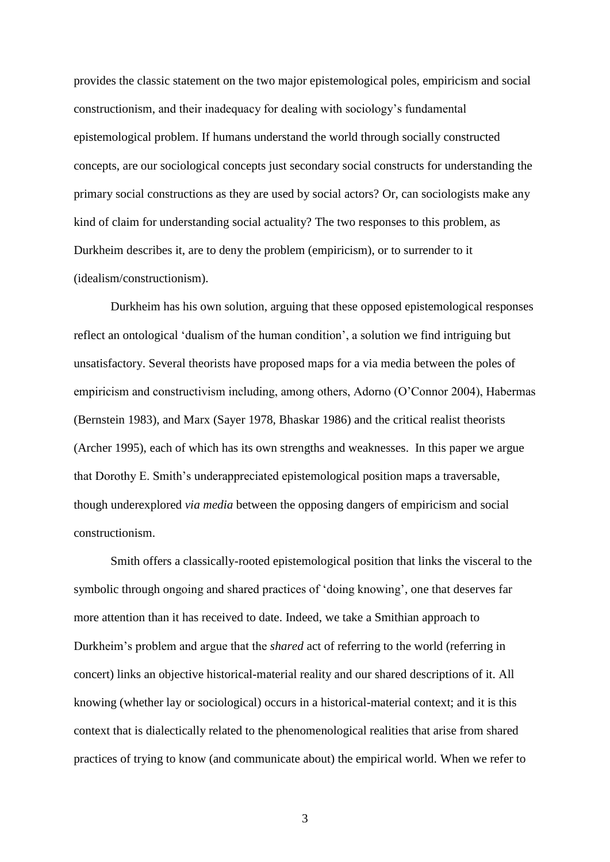provides the classic statement on the two major epistemological poles, empiricism and social constructionism, and their inadequacy for dealing with sociology's fundamental epistemological problem. If humans understand the world through socially constructed concepts, are our sociological concepts just secondary social constructs for understanding the primary social constructions as they are used by social actors? Or, can sociologists make any kind of claim for understanding social actuality? The two responses to this problem, as Durkheim describes it, are to deny the problem (empiricism), or to surrender to it (idealism/constructionism).

Durkheim has his own solution, arguing that these opposed epistemological responses reflect an ontological 'dualism of the human condition', a solution we find intriguing but unsatisfactory. Several theorists have proposed maps for a via media between the poles of empiricism and constructivism including, among others, Adorno (O'Connor 2004), Habermas (Bernstein 1983), and Marx (Sayer 1978, Bhaskar 1986) and the critical realist theorists (Archer 1995), each of which has its own strengths and weaknesses. In this paper we argue that Dorothy E. Smith's underappreciated epistemological position maps a traversable, though underexplored *via media* between the opposing dangers of empiricism and social constructionism.

Smith offers a classically-rooted epistemological position that links the visceral to the symbolic through ongoing and shared practices of 'doing knowing', one that deserves far more attention than it has received to date. Indeed, we take a Smithian approach to Durkheim's problem and argue that the *shared* act of referring to the world (referring in concert) links an objective historical-material reality and our shared descriptions of it. All knowing (whether lay or sociological) occurs in a historical-material context; and it is this context that is dialectically related to the phenomenological realities that arise from shared practices of trying to know (and communicate about) the empirical world. When we refer to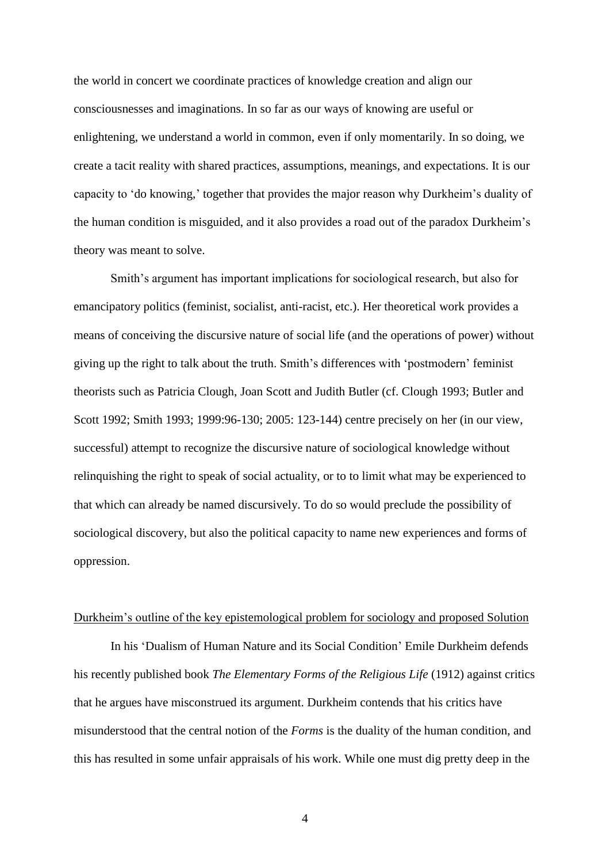the world in concert we coordinate practices of knowledge creation and align our consciousnesses and imaginations. In so far as our ways of knowing are useful or enlightening, we understand a world in common, even if only momentarily. In so doing, we create a tacit reality with shared practices, assumptions, meanings, and expectations. It is our capacity to 'do knowing,' together that provides the major reason why Durkheim's duality of the human condition is misguided, and it also provides a road out of the paradox Durkheim's theory was meant to solve.

Smith's argument has important implications for sociological research, but also for emancipatory politics (feminist, socialist, anti-racist, etc.). Her theoretical work provides a means of conceiving the discursive nature of social life (and the operations of power) without giving up the right to talk about the truth. Smith's differences with 'postmodern' feminist theorists such as Patricia Clough, Joan Scott and Judith Butler (cf. Clough 1993; Butler and Scott 1992; Smith 1993; 1999:96-130; 2005: 123-144) centre precisely on her (in our view, successful) attempt to recognize the discursive nature of sociological knowledge without relinquishing the right to speak of social actuality, or to to limit what may be experienced to that which can already be named discursively. To do so would preclude the possibility of sociological discovery, but also the political capacity to name new experiences and forms of oppression.

#### Durkheim's outline of the key epistemological problem for sociology and proposed Solution

In his 'Dualism of Human Nature and its Social Condition' Emile Durkheim defends his recently published book *The Elementary Forms of the Religious Life* (1912) against critics that he argues have misconstrued its argument. Durkheim contends that his critics have misunderstood that the central notion of the *Forms* is the duality of the human condition, and this has resulted in some unfair appraisals of his work. While one must dig pretty deep in the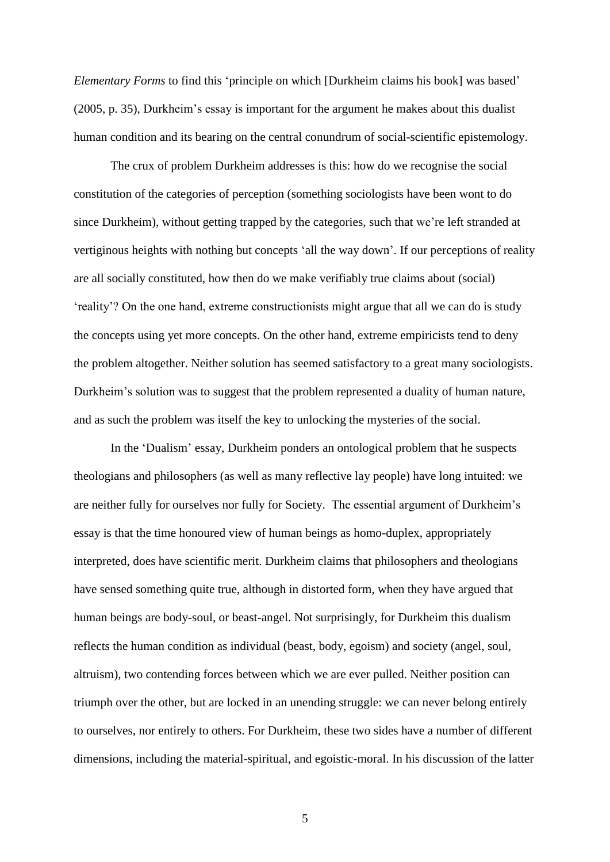*Elementary Forms* to find this 'principle on which [Durkheim claims his book] was based' (2005, p. 35), Durkheim's essay is important for the argument he makes about this dualist human condition and its bearing on the central conundrum of social-scientific epistemology.

The crux of problem Durkheim addresses is this: how do we recognise the social constitution of the categories of perception (something sociologists have been wont to do since Durkheim), without getting trapped by the categories, such that we're left stranded at vertiginous heights with nothing but concepts 'all the way down'. If our perceptions of reality are all socially constituted, how then do we make verifiably true claims about (social) 'reality'? On the one hand, extreme constructionists might argue that all we can do is study the concepts using yet more concepts. On the other hand, extreme empiricists tend to deny the problem altogether. Neither solution has seemed satisfactory to a great many sociologists. Durkheim's solution was to suggest that the problem represented a duality of human nature, and as such the problem was itself the key to unlocking the mysteries of the social.

In the 'Dualism' essay, Durkheim ponders an ontological problem that he suspects theologians and philosophers (as well as many reflective lay people) have long intuited: we are neither fully for ourselves nor fully for Society. The essential argument of Durkheim's essay is that the time honoured view of human beings as homo-duplex, appropriately interpreted, does have scientific merit. Durkheim claims that philosophers and theologians have sensed something quite true, although in distorted form, when they have argued that human beings are body-soul, or beast-angel. Not surprisingly, for Durkheim this dualism reflects the human condition as individual (beast, body, egoism) and society (angel, soul, altruism), two contending forces between which we are ever pulled. Neither position can triumph over the other, but are locked in an unending struggle: we can never belong entirely to ourselves, nor entirely to others. For Durkheim, these two sides have a number of different dimensions, including the material-spiritual, and egoistic-moral. In his discussion of the latter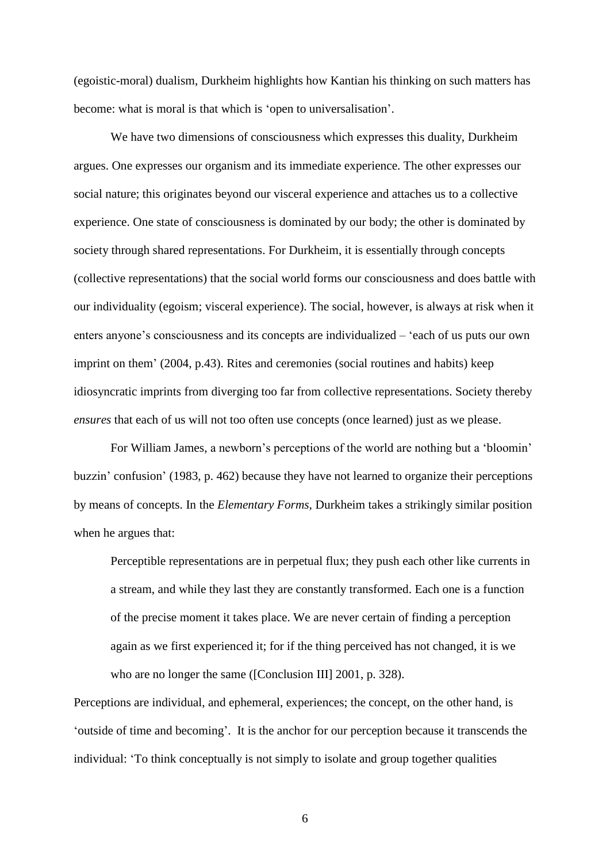(egoistic-moral) dualism, Durkheim highlights how Kantian his thinking on such matters has become: what is moral is that which is 'open to universalisation'.

We have two dimensions of consciousness which expresses this duality, Durkheim argues. One expresses our organism and its immediate experience. The other expresses our social nature; this originates beyond our visceral experience and attaches us to a collective experience. One state of consciousness is dominated by our body; the other is dominated by society through shared representations. For Durkheim, it is essentially through concepts (collective representations) that the social world forms our consciousness and does battle with our individuality (egoism; visceral experience). The social, however, is always at risk when it enters anyone's consciousness and its concepts are individualized – 'each of us puts our own imprint on them' (2004, p.43). Rites and ceremonies (social routines and habits) keep idiosyncratic imprints from diverging too far from collective representations. Society thereby *ensures* that each of us will not too often use concepts (once learned) just as we please.

For William James, a newborn's perceptions of the world are nothing but a 'bloomin' buzzin' confusion' (1983, p. 462) because they have not learned to organize their perceptions by means of concepts. In the *Elementary Forms,* Durkheim takes a strikingly similar position when he argues that:

Perceptible representations are in perpetual flux; they push each other like currents in a stream, and while they last they are constantly transformed. Each one is a function of the precise moment it takes place. We are never certain of finding a perception again as we first experienced it; for if the thing perceived has not changed, it is we who are no longer the same ([Conclusion III] 2001, p. 328).

Perceptions are individual, and ephemeral, experiences; the concept, on the other hand, is 'outside of time and becoming'. It is the anchor for our perception because it transcends the individual: 'To think conceptually is not simply to isolate and group together qualities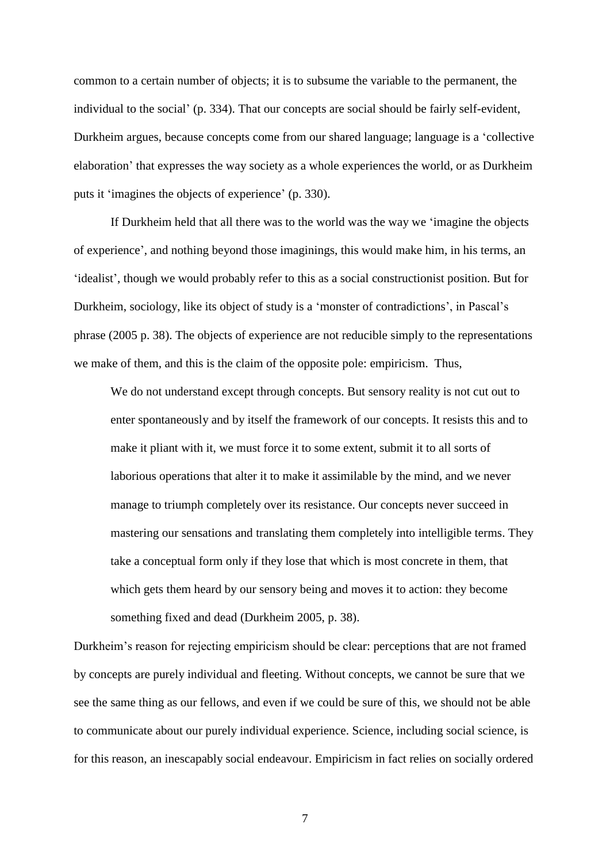common to a certain number of objects; it is to subsume the variable to the permanent, the individual to the social' (p. 334). That our concepts are social should be fairly self-evident, Durkheim argues, because concepts come from our shared language; language is a 'collective elaboration' that expresses the way society as a whole experiences the world, or as Durkheim puts it 'imagines the objects of experience' (p. 330).

If Durkheim held that all there was to the world was the way we 'imagine the objects of experience', and nothing beyond those imaginings, this would make him, in his terms, an 'idealist', though we would probably refer to this as a social constructionist position. But for Durkheim, sociology, like its object of study is a 'monster of contradictions', in Pascal's phrase (2005 p. 38). The objects of experience are not reducible simply to the representations we make of them, and this is the claim of the opposite pole: empiricism. Thus,

We do not understand except through concepts. But sensory reality is not cut out to enter spontaneously and by itself the framework of our concepts. It resists this and to make it pliant with it, we must force it to some extent, submit it to all sorts of laborious operations that alter it to make it assimilable by the mind, and we never manage to triumph completely over its resistance. Our concepts never succeed in mastering our sensations and translating them completely into intelligible terms. They take a conceptual form only if they lose that which is most concrete in them, that which gets them heard by our sensory being and moves it to action: they become something fixed and dead (Durkheim 2005, p. 38).

Durkheim's reason for rejecting empiricism should be clear: perceptions that are not framed by concepts are purely individual and fleeting. Without concepts, we cannot be sure that we see the same thing as our fellows, and even if we could be sure of this, we should not be able to communicate about our purely individual experience. Science, including social science, is for this reason, an inescapably social endeavour. Empiricism in fact relies on socially ordered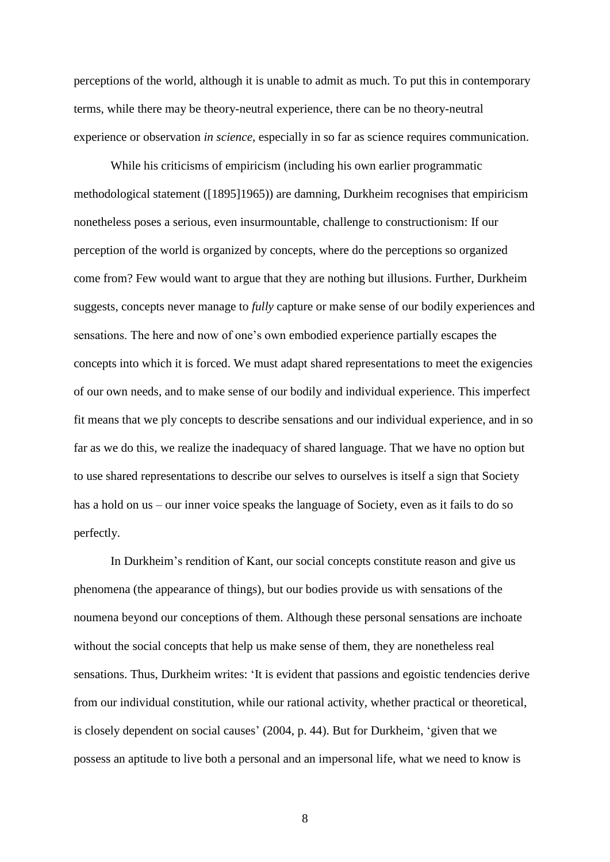perceptions of the world, although it is unable to admit as much. To put this in contemporary terms, while there may be theory-neutral experience, there can be no theory-neutral experience or observation *in science*, especially in so far as science requires communication.

While his criticisms of empiricism (including his own earlier programmatic methodological statement ([1895]1965)) are damning, Durkheim recognises that empiricism nonetheless poses a serious, even insurmountable, challenge to constructionism: If our perception of the world is organized by concepts, where do the perceptions so organized come from? Few would want to argue that they are nothing but illusions. Further, Durkheim suggests, concepts never manage to *fully* capture or make sense of our bodily experiences and sensations. The here and now of one's own embodied experience partially escapes the concepts into which it is forced. We must adapt shared representations to meet the exigencies of our own needs, and to make sense of our bodily and individual experience. This imperfect fit means that we ply concepts to describe sensations and our individual experience, and in so far as we do this, we realize the inadequacy of shared language. That we have no option but to use shared representations to describe our selves to ourselves is itself a sign that Society has a hold on us – our inner voice speaks the language of Society, even as it fails to do so perfectly.

In Durkheim's rendition of Kant, our social concepts constitute reason and give us phenomena (the appearance of things), but our bodies provide us with sensations of the noumena beyond our conceptions of them. Although these personal sensations are inchoate without the social concepts that help us make sense of them, they are nonetheless real sensations. Thus, Durkheim writes: 'It is evident that passions and egoistic tendencies derive from our individual constitution, while our rational activity, whether practical or theoretical, is closely dependent on social causes' (2004, p. 44). But for Durkheim, 'given that we possess an aptitude to live both a personal and an impersonal life, what we need to know is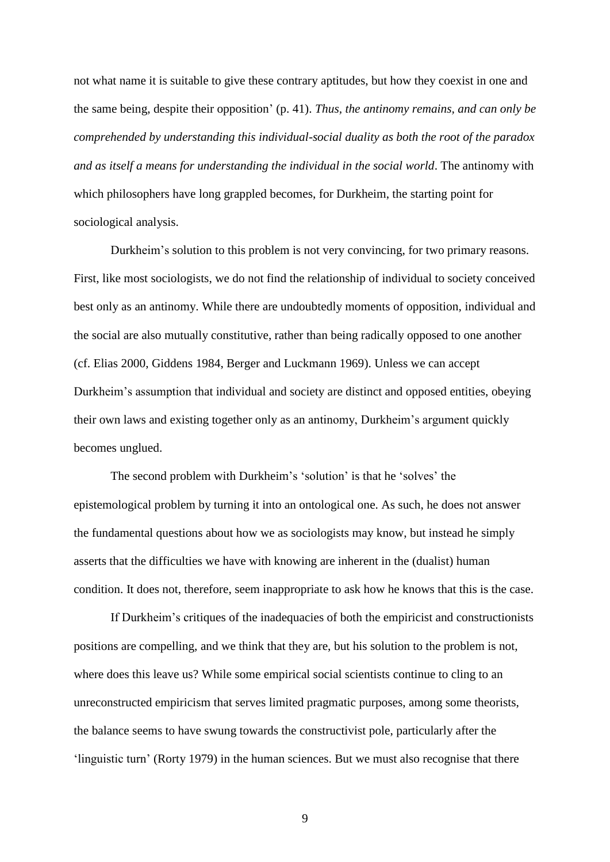not what name it is suitable to give these contrary aptitudes, but how they coexist in one and the same being, despite their opposition' (p. 41). *Thus, the antinomy remains, and can only be comprehended by understanding this individual-social duality as both the root of the paradox and as itself a means for understanding the individual in the social world*. The antinomy with which philosophers have long grappled becomes, for Durkheim, the starting point for sociological analysis.

Durkheim's solution to this problem is not very convincing, for two primary reasons. First, like most sociologists, we do not find the relationship of individual to society conceived best only as an antinomy. While there are undoubtedly moments of opposition, individual and the social are also mutually constitutive, rather than being radically opposed to one another (cf. Elias 2000, Giddens 1984, Berger and Luckmann 1969). Unless we can accept Durkheim's assumption that individual and society are distinct and opposed entities, obeying their own laws and existing together only as an antinomy, Durkheim's argument quickly becomes unglued.

The second problem with Durkheim's 'solution' is that he 'solves' the epistemological problem by turning it into an ontological one. As such, he does not answer the fundamental questions about how we as sociologists may know, but instead he simply asserts that the difficulties we have with knowing are inherent in the (dualist) human condition. It does not, therefore, seem inappropriate to ask how he knows that this is the case.

If Durkheim's critiques of the inadequacies of both the empiricist and constructionists positions are compelling, and we think that they are, but his solution to the problem is not, where does this leave us? While some empirical social scientists continue to cling to an unreconstructed empiricism that serves limited pragmatic purposes, among some theorists, the balance seems to have swung towards the constructivist pole, particularly after the 'linguistic turn' (Rorty 1979) in the human sciences. But we must also recognise that there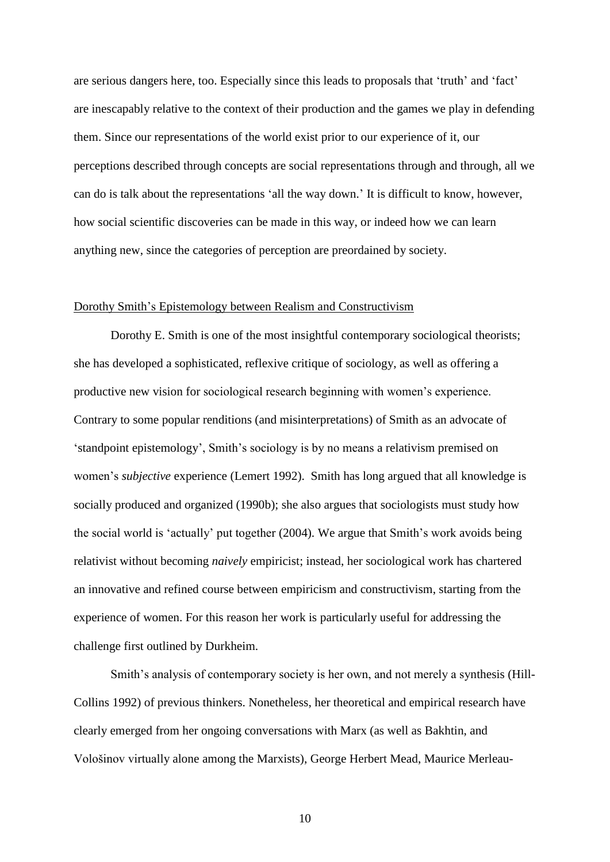are serious dangers here, too. Especially since this leads to proposals that 'truth' and 'fact' are inescapably relative to the context of their production and the games we play in defending them. Since our representations of the world exist prior to our experience of it, our perceptions described through concepts are social representations through and through, all we can do is talk about the representations 'all the way down.' It is difficult to know, however, how social scientific discoveries can be made in this way, or indeed how we can learn anything new, since the categories of perception are preordained by society.

## Dorothy Smith's Epistemology between Realism and Constructivism

Dorothy E. Smith is one of the most insightful contemporary sociological theorists; she has developed a sophisticated, reflexive critique of sociology, as well as offering a productive new vision for sociological research beginning with women's experience. Contrary to some popular renditions (and misinterpretations) of Smith as an advocate of 'standpoint epistemology', Smith's sociology is by no means a relativism premised on women's *subjective* experience (Lemert 1992). Smith has long argued that all knowledge is socially produced and organized (1990b); she also argues that sociologists must study how the social world is 'actually' put together (2004). We argue that Smith's work avoids being relativist without becoming *naively* empiricist; instead, her sociological work has chartered an innovative and refined course between empiricism and constructivism, starting from the experience of women. For this reason her work is particularly useful for addressing the challenge first outlined by Durkheim.

Smith's analysis of contemporary society is her own, and not merely a synthesis (Hill-Collins 1992) of previous thinkers. Nonetheless, her theoretical and empirical research have clearly emerged from her ongoing conversations with Marx (as well as Bakhtin, and Vološinov virtually alone among the Marxists), George Herbert Mead, Maurice Merleau-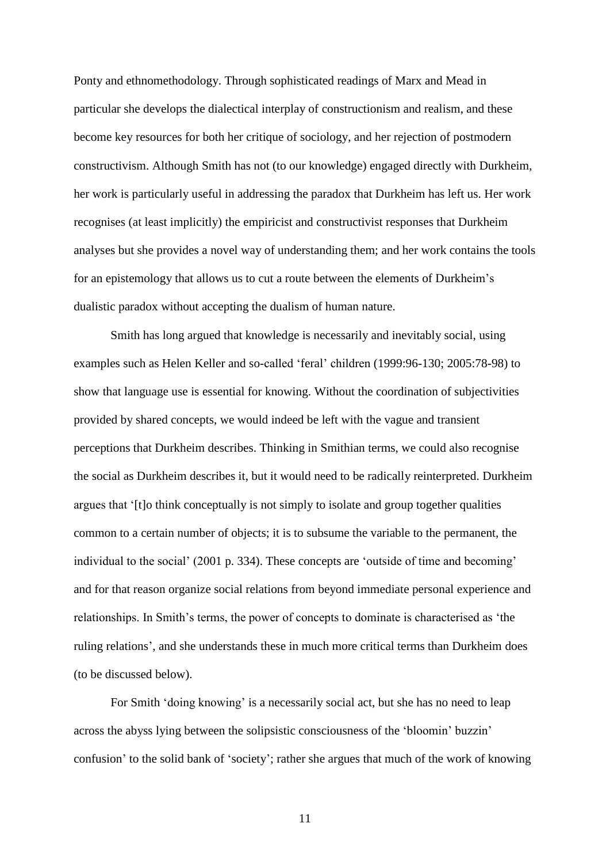Ponty and ethnomethodology. Through sophisticated readings of Marx and Mead in particular she develops the dialectical interplay of constructionism and realism, and these become key resources for both her critique of sociology, and her rejection of postmodern constructivism. Although Smith has not (to our knowledge) engaged directly with Durkheim, her work is particularly useful in addressing the paradox that Durkheim has left us. Her work recognises (at least implicitly) the empiricist and constructivist responses that Durkheim analyses but she provides a novel way of understanding them; and her work contains the tools for an epistemology that allows us to cut a route between the elements of Durkheim's dualistic paradox without accepting the dualism of human nature.

Smith has long argued that knowledge is necessarily and inevitably social, using examples such as Helen Keller and so-called 'feral' children (1999:96-130; 2005:78-98) to show that language use is essential for knowing. Without the coordination of subjectivities provided by shared concepts, we would indeed be left with the vague and transient perceptions that Durkheim describes. Thinking in Smithian terms, we could also recognise the social as Durkheim describes it, but it would need to be radically reinterpreted. Durkheim argues that '[t]o think conceptually is not simply to isolate and group together qualities common to a certain number of objects; it is to subsume the variable to the permanent, the individual to the social' (2001 p. 334). These concepts are 'outside of time and becoming' and for that reason organize social relations from beyond immediate personal experience and relationships. In Smith's terms, the power of concepts to dominate is characterised as 'the ruling relations', and she understands these in much more critical terms than Durkheim does (to be discussed below).

For Smith 'doing knowing' is a necessarily social act, but she has no need to leap across the abyss lying between the solipsistic consciousness of the 'bloomin' buzzin' confusion' to the solid bank of 'society'; rather she argues that much of the work of knowing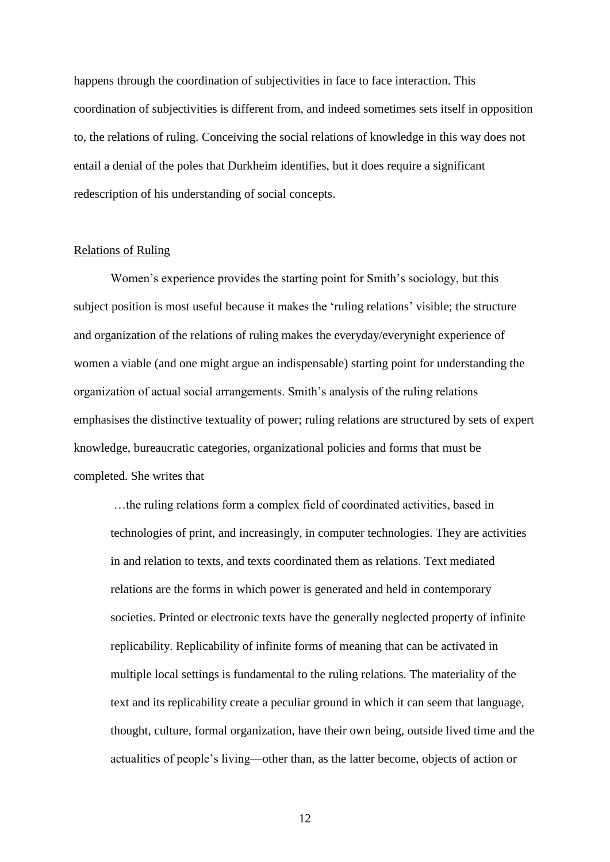happens through the coordination of subjectivities in face to face interaction. This coordination of subjectivities is different from, and indeed sometimes sets itself in opposition to, the relations of ruling. Conceiving the social relations of knowledge in this way does not entail a denial of the poles that Durkheim identifies, but it does require a significant redescription of his understanding of social concepts.

#### Relations of Ruling

Women's experience provides the starting point for Smith's sociology, but this subject position is most useful because it makes the 'ruling relations' visible; the structure and organization of the relations of ruling makes the everyday/everynight experience of women a viable (and one might argue an indispensable) starting point for understanding the organization of actual social arrangements. Smith's analysis of the ruling relations emphasises the distinctive textuality of power; ruling relations are structured by sets of expert knowledge, bureaucratic categories, organizational policies and forms that must be completed. She writes that

…the ruling relations form a complex field of coordinated activities, based in technologies of print, and increasingly, in computer technologies. They are activities in and relation to texts, and texts coordinated them as relations. Text mediated relations are the forms in which power is generated and held in contemporary societies. Printed or electronic texts have the generally neglected property of infinite replicability. Replicability of infinite forms of meaning that can be activated in multiple local settings is fundamental to the ruling relations. The materiality of the text and its replicability create a peculiar ground in which it can seem that language, thought, culture, formal organization, have their own being, outside lived time and the actualities of people's living—other than, as the latter become, objects of action or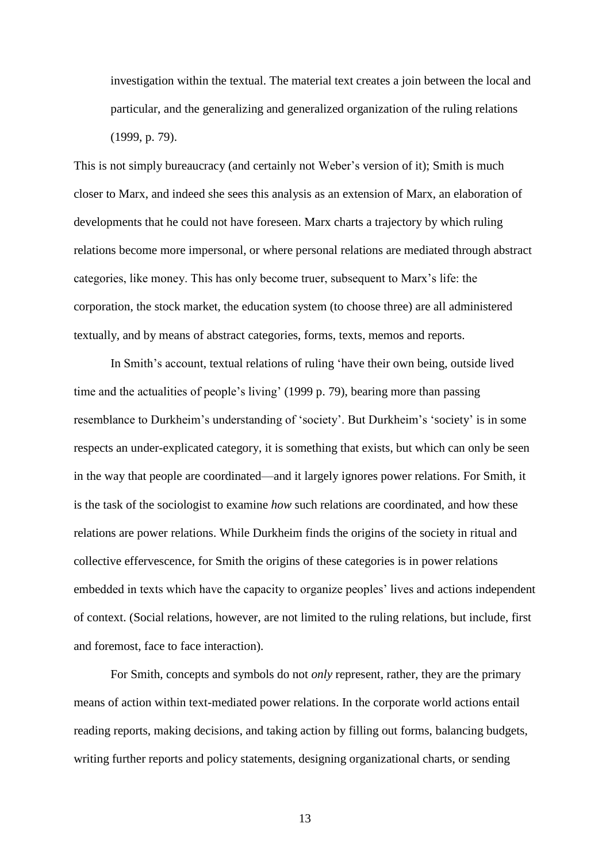investigation within the textual. The material text creates a join between the local and particular, and the generalizing and generalized organization of the ruling relations (1999, p. 79).

This is not simply bureaucracy (and certainly not Weber's version of it); Smith is much closer to Marx, and indeed she sees this analysis as an extension of Marx, an elaboration of developments that he could not have foreseen. Marx charts a trajectory by which ruling relations become more impersonal, or where personal relations are mediated through abstract categories, like money. This has only become truer, subsequent to Marx's life: the corporation, the stock market, the education system (to choose three) are all administered textually, and by means of abstract categories, forms, texts, memos and reports.

In Smith's account, textual relations of ruling 'have their own being, outside lived time and the actualities of people's living' (1999 p. 79), bearing more than passing resemblance to Durkheim's understanding of 'society'. But Durkheim's 'society' is in some respects an under-explicated category, it is something that exists, but which can only be seen in the way that people are coordinated—and it largely ignores power relations. For Smith, it is the task of the sociologist to examine *how* such relations are coordinated, and how these relations are power relations. While Durkheim finds the origins of the society in ritual and collective effervescence, for Smith the origins of these categories is in power relations embedded in texts which have the capacity to organize peoples' lives and actions independent of context. (Social relations, however, are not limited to the ruling relations, but include, first and foremost, face to face interaction).

For Smith, concepts and symbols do not *only* represent, rather, they are the primary means of action within text-mediated power relations. In the corporate world actions entail reading reports, making decisions, and taking action by filling out forms, balancing budgets, writing further reports and policy statements, designing organizational charts, or sending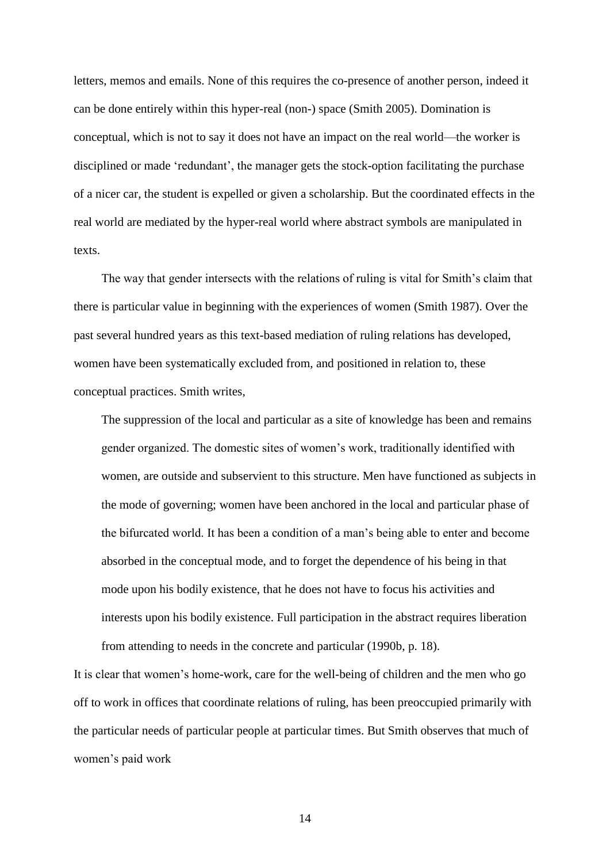letters, memos and emails. None of this requires the co-presence of another person, indeed it can be done entirely within this hyper-real (non-) space (Smith 2005). Domination is conceptual, which is not to say it does not have an impact on the real world—the worker is disciplined or made 'redundant', the manager gets the stock-option facilitating the purchase of a nicer car, the student is expelled or given a scholarship. But the coordinated effects in the real world are mediated by the hyper-real world where abstract symbols are manipulated in texts.

The way that gender intersects with the relations of ruling is vital for Smith's claim that there is particular value in beginning with the experiences of women (Smith 1987). Over the past several hundred years as this text-based mediation of ruling relations has developed, women have been systematically excluded from, and positioned in relation to, these conceptual practices. Smith writes,

The suppression of the local and particular as a site of knowledge has been and remains gender organized. The domestic sites of women's work, traditionally identified with women, are outside and subservient to this structure. Men have functioned as subjects in the mode of governing; women have been anchored in the local and particular phase of the bifurcated world. It has been a condition of a man's being able to enter and become absorbed in the conceptual mode, and to forget the dependence of his being in that mode upon his bodily existence, that he does not have to focus his activities and interests upon his bodily existence. Full participation in the abstract requires liberation from attending to needs in the concrete and particular (1990b, p. 18).

It is clear that women's home-work, care for the well-being of children and the men who go off to work in offices that coordinate relations of ruling, has been preoccupied primarily with the particular needs of particular people at particular times. But Smith observes that much of women's paid work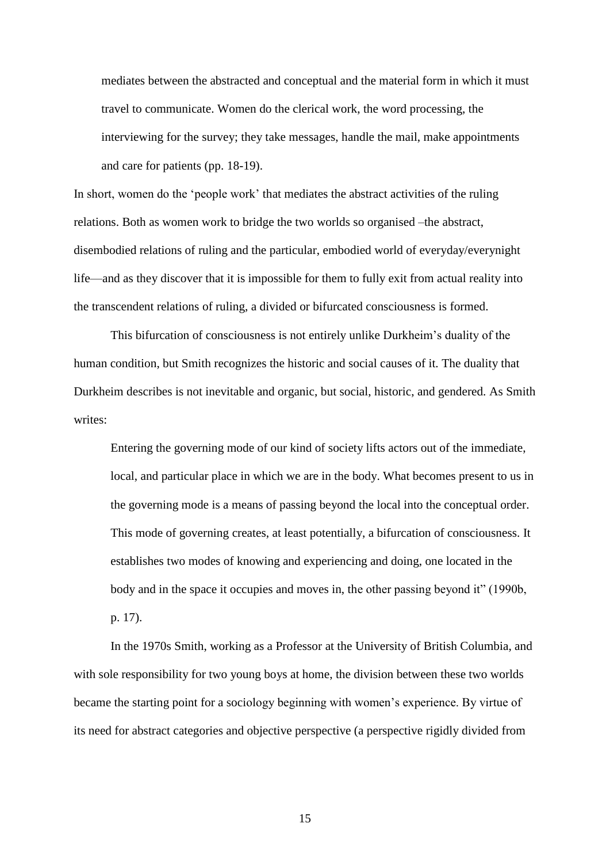mediates between the abstracted and conceptual and the material form in which it must travel to communicate. Women do the clerical work, the word processing, the interviewing for the survey; they take messages, handle the mail, make appointments and care for patients (pp. 18-19).

In short, women do the 'people work' that mediates the abstract activities of the ruling relations. Both as women work to bridge the two worlds so organised –the abstract, disembodied relations of ruling and the particular, embodied world of everyday/everynight life—and as they discover that it is impossible for them to fully exit from actual reality into the transcendent relations of ruling, a divided or bifurcated consciousness is formed.

This bifurcation of consciousness is not entirely unlike Durkheim's duality of the human condition, but Smith recognizes the historic and social causes of it. The duality that Durkheim describes is not inevitable and organic, but social, historic, and gendered. As Smith writes:

Entering the governing mode of our kind of society lifts actors out of the immediate, local, and particular place in which we are in the body. What becomes present to us in the governing mode is a means of passing beyond the local into the conceptual order. This mode of governing creates, at least potentially, a bifurcation of consciousness. It establishes two modes of knowing and experiencing and doing, one located in the body and in the space it occupies and moves in, the other passing beyond it" (1990b, p. 17).

In the 1970s Smith, working as a Professor at the University of British Columbia, and with sole responsibility for two young boys at home, the division between these two worlds became the starting point for a sociology beginning with women's experience. By virtue of its need for abstract categories and objective perspective (a perspective rigidly divided from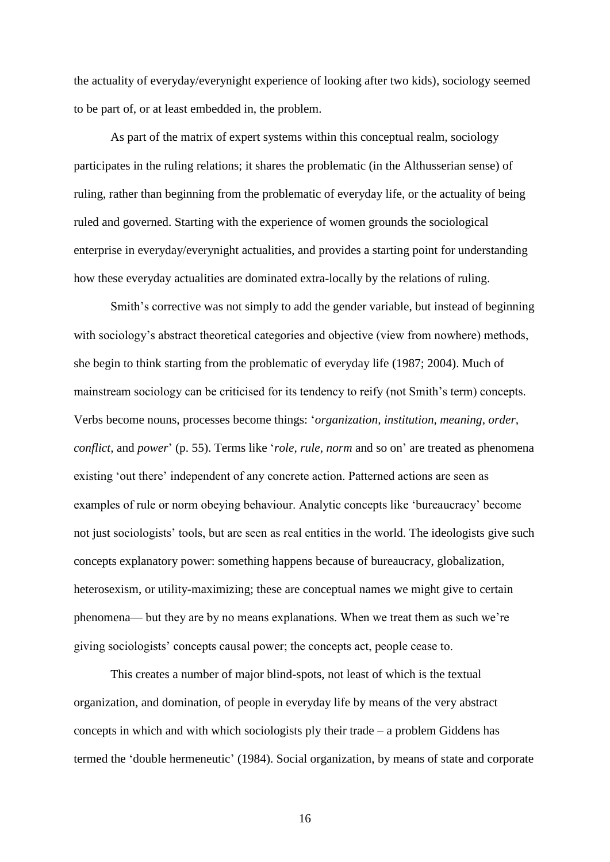the actuality of everyday/everynight experience of looking after two kids), sociology seemed to be part of, or at least embedded in, the problem.

As part of the matrix of expert systems within this conceptual realm, sociology participates in the ruling relations; it shares the problematic (in the Althusserian sense) of ruling, rather than beginning from the problematic of everyday life, or the actuality of being ruled and governed. Starting with the experience of women grounds the sociological enterprise in everyday/everynight actualities, and provides a starting point for understanding how these everyday actualities are dominated extra-locally by the relations of ruling.

Smith's corrective was not simply to add the gender variable, but instead of beginning with sociology's abstract theoretical categories and objective (view from nowhere) methods, she begin to think starting from the problematic of everyday life (1987; 2004). Much of mainstream sociology can be criticised for its tendency to reify (not Smith's term) concepts. Verbs become nouns, processes become things: '*organization, institution, meaning, order, conflict,* and *power*' (p. 55). Terms like '*role, rule, norm* and so on' are treated as phenomena existing 'out there' independent of any concrete action. Patterned actions are seen as examples of rule or norm obeying behaviour. Analytic concepts like 'bureaucracy' become not just sociologists' tools, but are seen as real entities in the world. The ideologists give such concepts explanatory power: something happens because of bureaucracy, globalization, heterosexism, or utility-maximizing; these are conceptual names we might give to certain phenomena— but they are by no means explanations. When we treat them as such we're giving sociologists' concepts causal power; the concepts act, people cease to.

This creates a number of major blind-spots, not least of which is the textual organization, and domination, of people in everyday life by means of the very abstract concepts in which and with which sociologists ply their trade – a problem Giddens has termed the 'double hermeneutic' (1984). Social organization, by means of state and corporate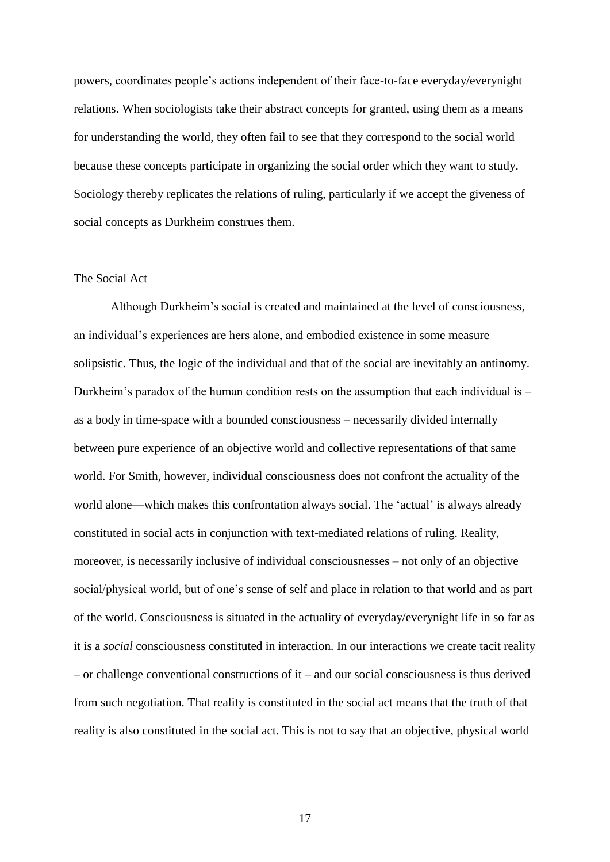powers, coordinates people's actions independent of their face-to-face everyday/everynight relations. When sociologists take their abstract concepts for granted, using them as a means for understanding the world, they often fail to see that they correspond to the social world because these concepts participate in organizing the social order which they want to study. Sociology thereby replicates the relations of ruling, particularly if we accept the giveness of social concepts as Durkheim construes them.

#### The Social Act

Although Durkheim's social is created and maintained at the level of consciousness, an individual's experiences are hers alone, and embodied existence in some measure solipsistic. Thus, the logic of the individual and that of the social are inevitably an antinomy. Durkheim's paradox of the human condition rests on the assumption that each individual is – as a body in time-space with a bounded consciousness – necessarily divided internally between pure experience of an objective world and collective representations of that same world. For Smith, however, individual consciousness does not confront the actuality of the world alone—which makes this confrontation always social. The 'actual' is always already constituted in social acts in conjunction with text-mediated relations of ruling. Reality, moreover, is necessarily inclusive of individual consciousnesses – not only of an objective social/physical world, but of one's sense of self and place in relation to that world and as part of the world. Consciousness is situated in the actuality of everyday/everynight life in so far as it is a *social* consciousness constituted in interaction. In our interactions we create tacit reality – or challenge conventional constructions of it – and our social consciousness is thus derived from such negotiation. That reality is constituted in the social act means that the truth of that reality is also constituted in the social act. This is not to say that an objective, physical world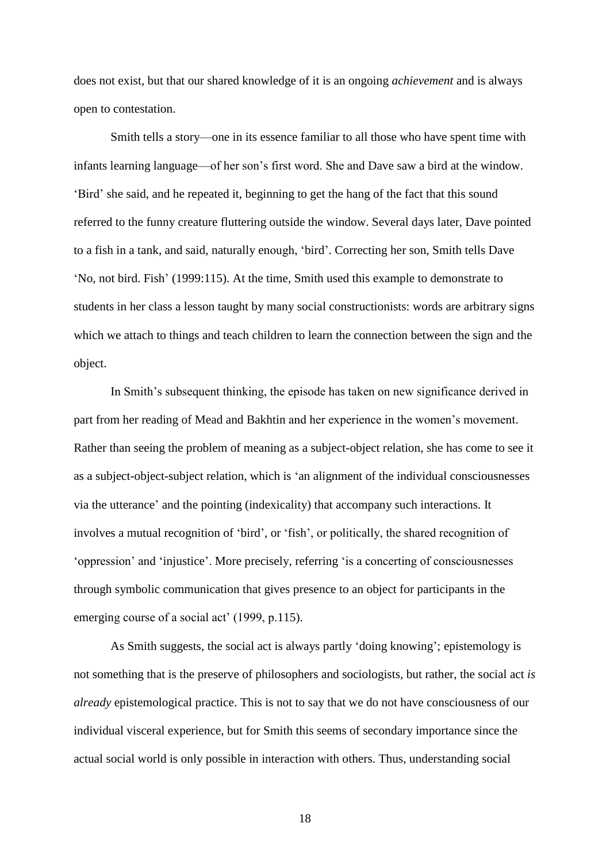does not exist, but that our shared knowledge of it is an ongoing *achievement* and is always open to contestation.

Smith tells a story—one in its essence familiar to all those who have spent time with infants learning language—of her son's first word. She and Dave saw a bird at the window. 'Bird' she said, and he repeated it, beginning to get the hang of the fact that this sound referred to the funny creature fluttering outside the window. Several days later, Dave pointed to a fish in a tank, and said, naturally enough, 'bird'. Correcting her son, Smith tells Dave 'No, not bird. Fish' (1999:115). At the time, Smith used this example to demonstrate to students in her class a lesson taught by many social constructionists: words are arbitrary signs which we attach to things and teach children to learn the connection between the sign and the object.

In Smith's subsequent thinking, the episode has taken on new significance derived in part from her reading of Mead and Bakhtin and her experience in the women's movement. Rather than seeing the problem of meaning as a subject-object relation, she has come to see it as a subject-object-subject relation, which is 'an alignment of the individual consciousnesses via the utterance' and the pointing (indexicality) that accompany such interactions. It involves a mutual recognition of 'bird', or 'fish', or politically, the shared recognition of 'oppression' and 'injustice'. More precisely, referring 'is a concerting of consciousnesses through symbolic communication that gives presence to an object for participants in the emerging course of a social act' (1999, p.115).

As Smith suggests, the social act is always partly 'doing knowing'; epistemology is not something that is the preserve of philosophers and sociologists, but rather, the social act *is already* epistemological practice. This is not to say that we do not have consciousness of our individual visceral experience, but for Smith this seems of secondary importance since the actual social world is only possible in interaction with others. Thus, understanding social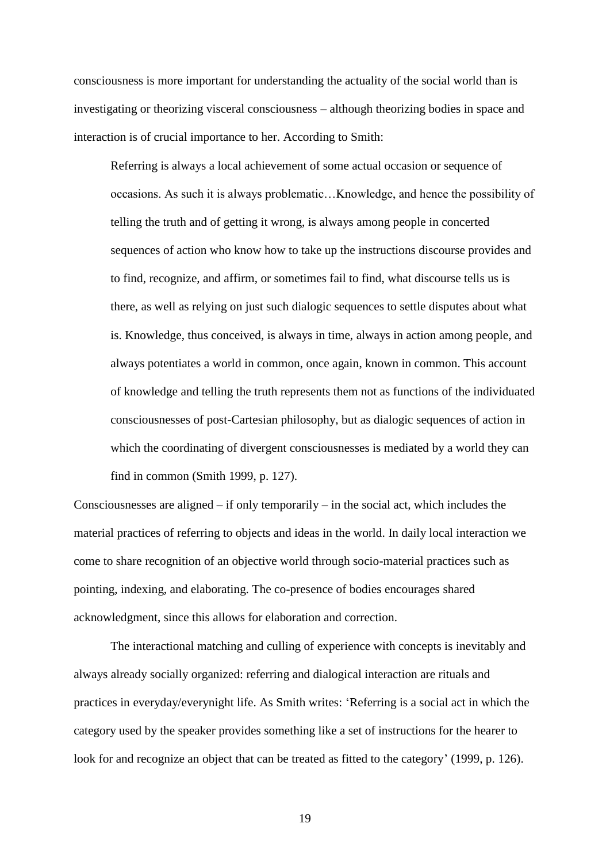consciousness is more important for understanding the actuality of the social world than is investigating or theorizing visceral consciousness – although theorizing bodies in space and interaction is of crucial importance to her. According to Smith:

Referring is always a local achievement of some actual occasion or sequence of occasions. As such it is always problematic…Knowledge, and hence the possibility of telling the truth and of getting it wrong, is always among people in concerted sequences of action who know how to take up the instructions discourse provides and to find, recognize, and affirm, or sometimes fail to find, what discourse tells us is there, as well as relying on just such dialogic sequences to settle disputes about what is. Knowledge, thus conceived, is always in time, always in action among people, and always potentiates a world in common, once again, known in common. This account of knowledge and telling the truth represents them not as functions of the individuated consciousnesses of post-Cartesian philosophy, but as dialogic sequences of action in which the coordinating of divergent consciousnesses is mediated by a world they can find in common (Smith 1999, p. 127).

Consciousnesses are aligned – if only temporarily – in the social act, which includes the material practices of referring to objects and ideas in the world. In daily local interaction we come to share recognition of an objective world through socio-material practices such as pointing, indexing, and elaborating. The co-presence of bodies encourages shared acknowledgment, since this allows for elaboration and correction.

The interactional matching and culling of experience with concepts is inevitably and always already socially organized: referring and dialogical interaction are rituals and practices in everyday/everynight life. As Smith writes: 'Referring is a social act in which the category used by the speaker provides something like a set of instructions for the hearer to look for and recognize an object that can be treated as fitted to the category' (1999, p. 126).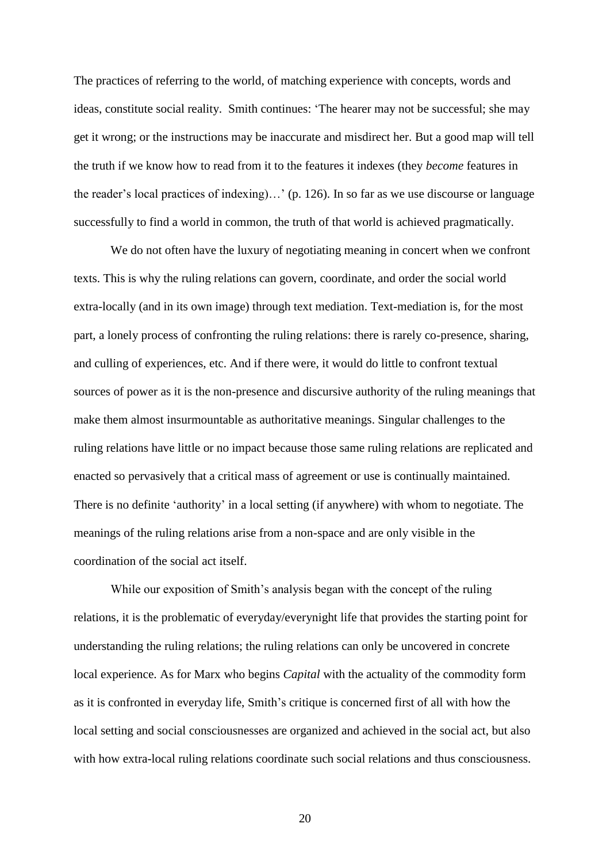The practices of referring to the world, of matching experience with concepts, words and ideas, constitute social reality. Smith continues: 'The hearer may not be successful; she may get it wrong; or the instructions may be inaccurate and misdirect her. But a good map will tell the truth if we know how to read from it to the features it indexes (they *become* features in the reader's local practices of indexing)…' (p. 126). In so far as we use discourse or language successfully to find a world in common, the truth of that world is achieved pragmatically.

We do not often have the luxury of negotiating meaning in concert when we confront texts. This is why the ruling relations can govern, coordinate, and order the social world extra-locally (and in its own image) through text mediation. Text-mediation is, for the most part, a lonely process of confronting the ruling relations: there is rarely co-presence, sharing, and culling of experiences, etc. And if there were, it would do little to confront textual sources of power as it is the non-presence and discursive authority of the ruling meanings that make them almost insurmountable as authoritative meanings. Singular challenges to the ruling relations have little or no impact because those same ruling relations are replicated and enacted so pervasively that a critical mass of agreement or use is continually maintained. There is no definite 'authority' in a local setting (if anywhere) with whom to negotiate. The meanings of the ruling relations arise from a non-space and are only visible in the coordination of the social act itself.

While our exposition of Smith's analysis began with the concept of the ruling relations, it is the problematic of everyday/everynight life that provides the starting point for understanding the ruling relations; the ruling relations can only be uncovered in concrete local experience. As for Marx who begins *Capital* with the actuality of the commodity form as it is confronted in everyday life, Smith's critique is concerned first of all with how the local setting and social consciousnesses are organized and achieved in the social act, but also with how extra-local ruling relations coordinate such social relations and thus consciousness.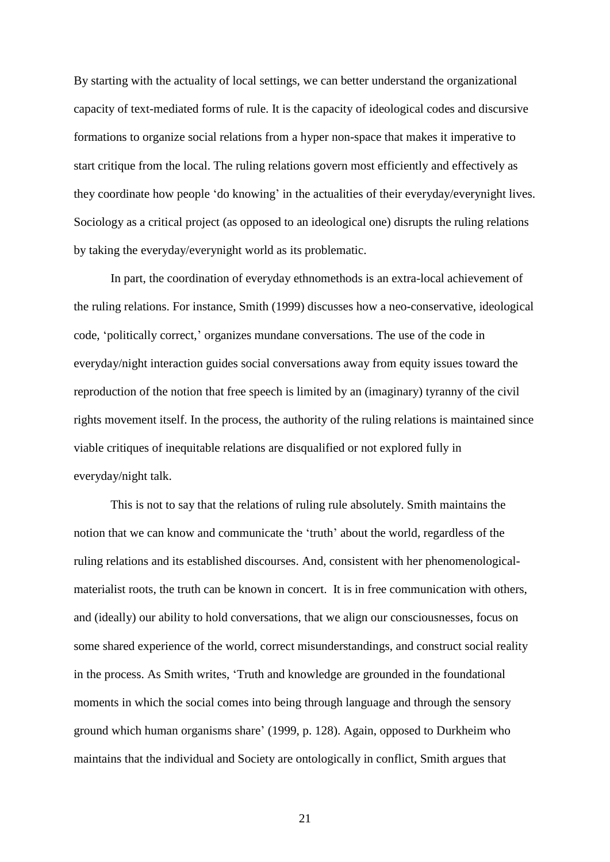By starting with the actuality of local settings, we can better understand the organizational capacity of text-mediated forms of rule. It is the capacity of ideological codes and discursive formations to organize social relations from a hyper non-space that makes it imperative to start critique from the local. The ruling relations govern most efficiently and effectively as they coordinate how people 'do knowing' in the actualities of their everyday/everynight lives. Sociology as a critical project (as opposed to an ideological one) disrupts the ruling relations by taking the everyday/everynight world as its problematic.

In part, the coordination of everyday ethnomethods is an extra-local achievement of the ruling relations. For instance, Smith (1999) discusses how a neo-conservative, ideological code, 'politically correct,' organizes mundane conversations. The use of the code in everyday/night interaction guides social conversations away from equity issues toward the reproduction of the notion that free speech is limited by an (imaginary) tyranny of the civil rights movement itself. In the process, the authority of the ruling relations is maintained since viable critiques of inequitable relations are disqualified or not explored fully in everyday/night talk.

This is not to say that the relations of ruling rule absolutely. Smith maintains the notion that we can know and communicate the 'truth' about the world, regardless of the ruling relations and its established discourses. And, consistent with her phenomenologicalmaterialist roots, the truth can be known in concert. It is in free communication with others, and (ideally) our ability to hold conversations, that we align our consciousnesses, focus on some shared experience of the world, correct misunderstandings, and construct social reality in the process. As Smith writes, 'Truth and knowledge are grounded in the foundational moments in which the social comes into being through language and through the sensory ground which human organisms share' (1999, p. 128). Again, opposed to Durkheim who maintains that the individual and Society are ontologically in conflict, Smith argues that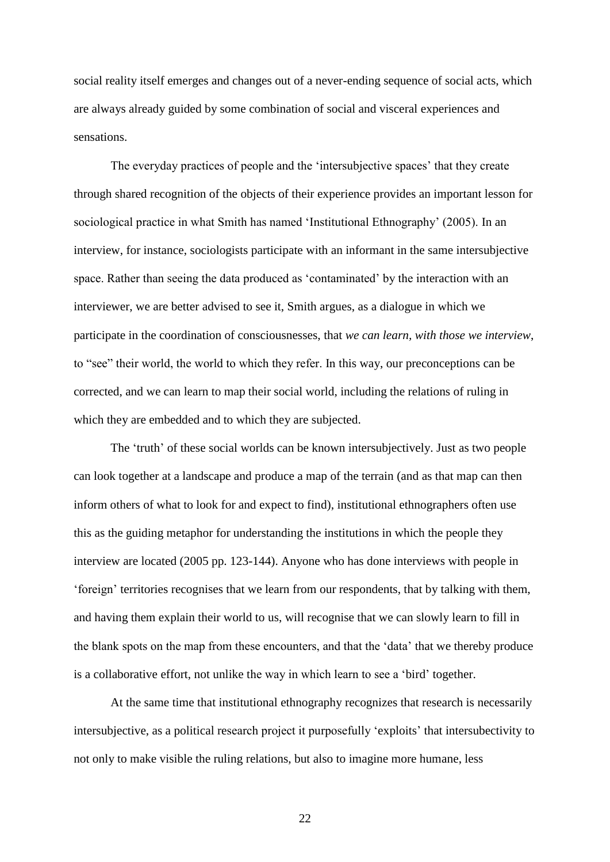social reality itself emerges and changes out of a never-ending sequence of social acts, which are always already guided by some combination of social and visceral experiences and sensations.

The everyday practices of people and the 'intersubjective spaces' that they create through shared recognition of the objects of their experience provides an important lesson for sociological practice in what Smith has named 'Institutional Ethnography' (2005). In an interview, for instance, sociologists participate with an informant in the same intersubjective space. Rather than seeing the data produced as 'contaminated' by the interaction with an interviewer, we are better advised to see it, Smith argues, as a dialogue in which we participate in the coordination of consciousnesses, that *we can learn, with those we interview*, to "see" their world, the world to which they refer. In this way, our preconceptions can be corrected, and we can learn to map their social world, including the relations of ruling in which they are embedded and to which they are subjected.

The 'truth' of these social worlds can be known intersubjectively. Just as two people can look together at a landscape and produce a map of the terrain (and as that map can then inform others of what to look for and expect to find), institutional ethnographers often use this as the guiding metaphor for understanding the institutions in which the people they interview are located (2005 pp. 123-144). Anyone who has done interviews with people in 'foreign' territories recognises that we learn from our respondents, that by talking with them, and having them explain their world to us, will recognise that we can slowly learn to fill in the blank spots on the map from these encounters, and that the 'data' that we thereby produce is a collaborative effort, not unlike the way in which learn to see a 'bird' together.

At the same time that institutional ethnography recognizes that research is necessarily intersubjective, as a political research project it purposefully 'exploits' that intersubectivity to not only to make visible the ruling relations, but also to imagine more humane, less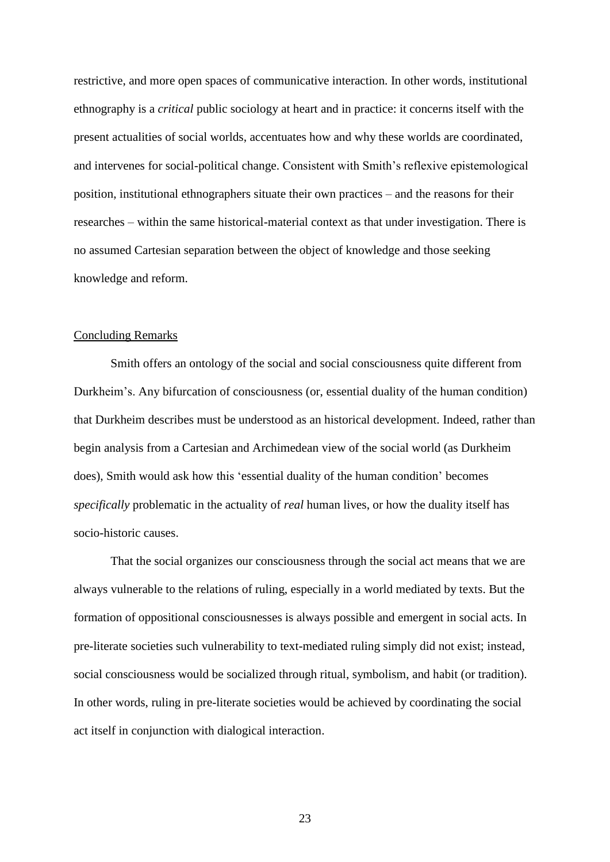restrictive, and more open spaces of communicative interaction. In other words, institutional ethnography is a *critical* public sociology at heart and in practice: it concerns itself with the present actualities of social worlds, accentuates how and why these worlds are coordinated, and intervenes for social-political change. Consistent with Smith's reflexive epistemological position, institutional ethnographers situate their own practices – and the reasons for their researches – within the same historical-material context as that under investigation. There is no assumed Cartesian separation between the object of knowledge and those seeking knowledge and reform.

## Concluding Remarks

Smith offers an ontology of the social and social consciousness quite different from Durkheim's. Any bifurcation of consciousness (or, essential duality of the human condition) that Durkheim describes must be understood as an historical development. Indeed, rather than begin analysis from a Cartesian and Archimedean view of the social world (as Durkheim does), Smith would ask how this 'essential duality of the human condition' becomes *specifically* problematic in the actuality of *real* human lives, or how the duality itself has socio-historic causes.

That the social organizes our consciousness through the social act means that we are always vulnerable to the relations of ruling, especially in a world mediated by texts. But the formation of oppositional consciousnesses is always possible and emergent in social acts. In pre-literate societies such vulnerability to text-mediated ruling simply did not exist; instead, social consciousness would be socialized through ritual, symbolism, and habit (or tradition). In other words, ruling in pre-literate societies would be achieved by coordinating the social act itself in conjunction with dialogical interaction.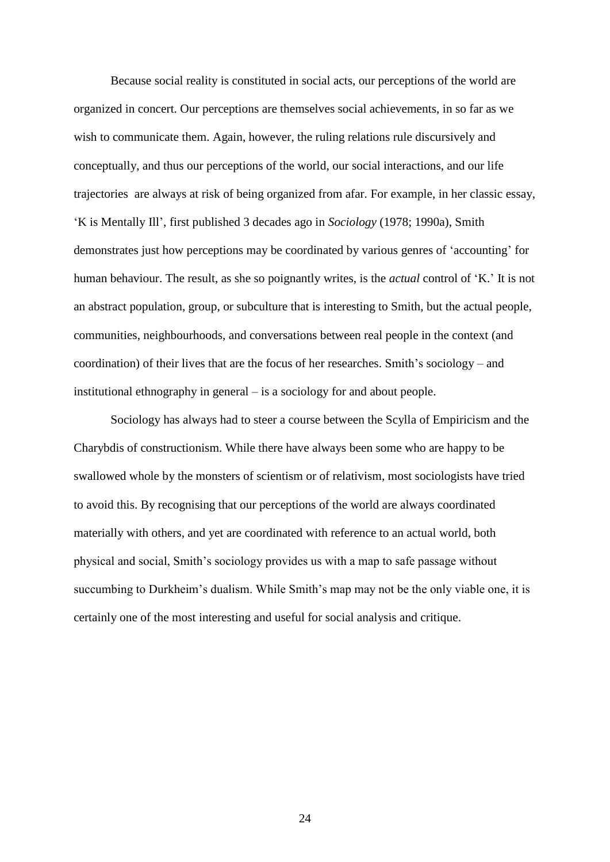Because social reality is constituted in social acts, our perceptions of the world are organized in concert. Our perceptions are themselves social achievements, in so far as we wish to communicate them. Again, however, the ruling relations rule discursively and conceptually, and thus our perceptions of the world, our social interactions, and our life trajectories are always at risk of being organized from afar. For example, in her classic essay, 'K is Mentally Ill', first published 3 decades ago in *Sociology* (1978; 1990a), Smith demonstrates just how perceptions may be coordinated by various genres of 'accounting' for human behaviour. The result, as she so poignantly writes, is the *actual* control of 'K.' It is not an abstract population, group, or subculture that is interesting to Smith, but the actual people, communities, neighbourhoods, and conversations between real people in the context (and coordination) of their lives that are the focus of her researches. Smith's sociology – and institutional ethnography in general – is a sociology for and about people.

Sociology has always had to steer a course between the Scylla of Empiricism and the Charybdis of constructionism. While there have always been some who are happy to be swallowed whole by the monsters of scientism or of relativism, most sociologists have tried to avoid this. By recognising that our perceptions of the world are always coordinated materially with others, and yet are coordinated with reference to an actual world, both physical and social, Smith's sociology provides us with a map to safe passage without succumbing to Durkheim's dualism. While Smith's map may not be the only viable one, it is certainly one of the most interesting and useful for social analysis and critique.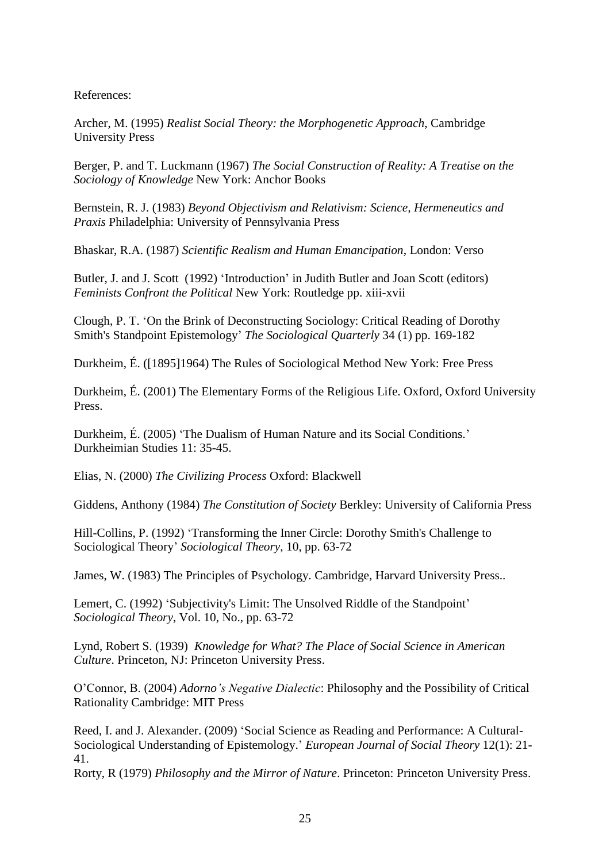References:

Archer, M. (1995) *Realist Social Theory: the Morphogenetic Approach*, Cambridge University Press

Berger, P. and T. Luckmann (1967) *The Social Construction of Reality: A Treatise on the Sociology of Knowledge* New York: Anchor Books

Bernstein, R. J. (1983) *Beyond Objectivism and Relativism: Science, Hermeneutics and Praxis* Philadelphia: University of Pennsylvania Press

Bhaskar, R.A. (1987) *Scientific Realism and Human Emancipation*, London: Verso

Butler, J. and J. Scott (1992) 'Introduction' in Judith Butler and Joan Scott (editors) *Feminists Confront the Political* New York: Routledge pp. xiii-xvii

Clough, P. T. 'On the Brink of Deconstructing Sociology: Critical Reading of Dorothy Smith's Standpoint Epistemology' *The Sociological Quarterly* 34 (1) pp. 169-182

Durkheim, É. ([1895]1964) The Rules of Sociological Method New York: Free Press

Durkheim, É. (2001) The Elementary Forms of the Religious Life. Oxford, Oxford University Press.

Durkheim, É. (2005) 'The Dualism of Human Nature and its Social Conditions.' Durkheimian Studies 11: 35-45.

Elias, N. (2000) *The Civilizing Process* Oxford: Blackwell

Giddens, Anthony (1984) *The Constitution of Society* Berkley: University of California Press

Hill-Collins, P. (1992) 'Transforming the Inner Circle: Dorothy Smith's Challenge to Sociological Theory' *Sociological Theory*, 10, pp. 63-72

James, W. (1983) The Principles of Psychology. Cambridge, Harvard University Press..

Lemert, C. (1992) 'Subjectivity's Limit: The Unsolved Riddle of the Standpoint' *Sociological Theory*, Vol. 10, No., pp. 63-72

Lynd, Robert S. (1939) *Knowledge for What? The Place of Social Science in American Culture*. Princeton, NJ: Princeton University Press.

O'Connor, B. (2004) *Adorno's Negative Dialectic*: Philosophy and the Possibility of Critical Rationality Cambridge: MIT Press

Reed, I. and J. Alexander. (2009) 'Social Science as Reading and Performance: A Cultural-Sociological Understanding of Epistemology.' *European Journal of Social Theory* 12(1): 21- 41.

Rorty, R (1979) *Philosophy and the Mirror of Nature*. Princeton: Princeton University Press.